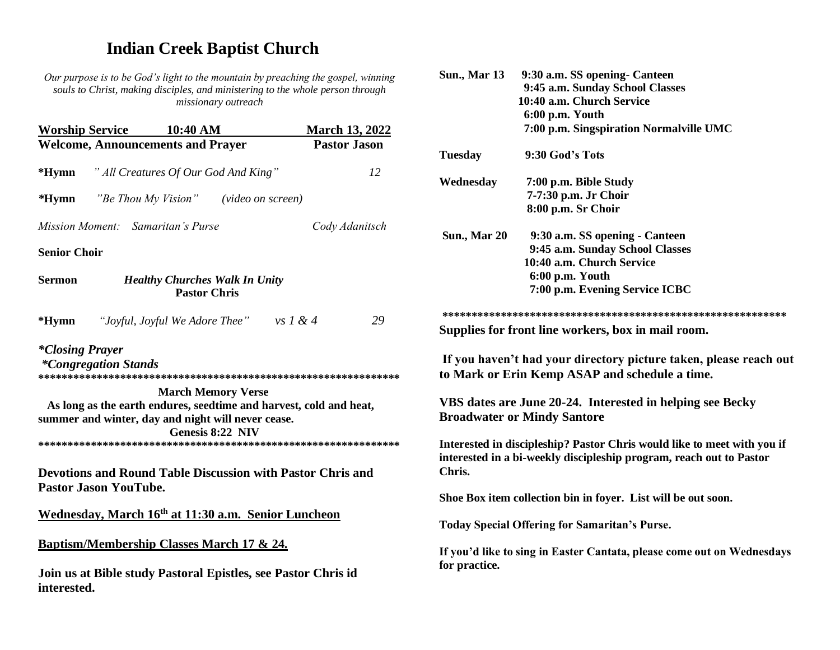# **Indian Creek Baptist Church**

*Our purpose is to be God's light to the mountain by preaching the gospel, winning souls to Christ, making disciples, and ministering to the whole person through missionary outreach*

| <b>Worship Service</b>                                             | $10:40~\mathrm{AM}$                                                                               | <b>March 13, 2022</b> |                      |
|--------------------------------------------------------------------|---------------------------------------------------------------------------------------------------|-----------------------|----------------------|
|                                                                    | <b>Welcome, Announcements and Prayer</b>                                                          | <b>Pastor Jason</b>   | <b>Tuesday</b>       |
| $*Hymn$                                                            | " All Creatures Of Our God And King"                                                              | 12                    |                      |
|                                                                    |                                                                                                   |                       | Wednesday            |
| *Hymn                                                              | "Be Thou My Vision"<br><i>(video on screen)</i>                                                   |                       |                      |
|                                                                    | Mission Moment: Samaritan's Purse                                                                 | Cody Adanitsch        |                      |
| <b>Senior Choir</b>                                                |                                                                                                   |                       | Sun., Mar 20         |
| <b>Sermon</b>                                                      | <b>Healthy Churches Walk In Unity</b><br><b>Pastor Chris</b>                                      |                       |                      |
|                                                                    |                                                                                                   |                       | ***********          |
| $*Hymn$                                                            | "Joyful, Joyful We Adore Thee" vs $1 & 4$                                                         | 29                    | <b>Supplies for</b>  |
| <i>*Closing Prayer</i>                                             |                                                                                                   |                       | If you have          |
| <i>*Congregation Stands</i>                                        |                                                                                                   |                       | to Mark or I         |
|                                                                    | <b>March Memory Verse</b>                                                                         |                       |                      |
| As long as the earth endures, seedtime and harvest, cold and heat, |                                                                                                   |                       | <b>VBS</b> dates a   |
|                                                                    | summer and winter, day and night will never cease.<br>Genesis 8:22 NIV                            |                       | <b>Broadwater</b>    |
|                                                                    |                                                                                                   |                       | Interested in        |
|                                                                    |                                                                                                   |                       | interested in a      |
|                                                                    | <b>Devotions and Round Table Discussion with Pastor Chris and</b><br><b>Pastor Jason YouTube.</b> |                       | Chris.               |
|                                                                    |                                                                                                   |                       | <b>Shoe Box iten</b> |
|                                                                    | Wednesday, March 16 <sup>th</sup> at 11:30 a.m. Senior Luncheon                                   |                       |                      |
|                                                                    |                                                                                                   |                       | <b>Today Specia</b>  |
| <b>Baptism/Membership Classes March 17 &amp; 24.</b>               |                                                                                                   |                       | If you'd like t      |
| interested.                                                        | Join us at Bible study Pastoral Epistles, see Pastor Chris id                                     |                       | for practice.        |
|                                                                    |                                                                                                   |                       |                      |

| <b>Sun., Mar 13</b> | 9:30 a.m. SS opening- Canteen                                                                                                                  |
|---------------------|------------------------------------------------------------------------------------------------------------------------------------------------|
|                     | 9:45 a.m. Sunday School Classes                                                                                                                |
|                     | 10:40 a.m. Church Service                                                                                                                      |
|                     | 6:00 p.m. Youth                                                                                                                                |
|                     | 7:00 p.m. Singspiration Normalville UMC                                                                                                        |
| <b>Tuesday</b>      | 9:30 God's Tots                                                                                                                                |
| Wednesday           | 7:00 p.m. Bible Study                                                                                                                          |
|                     | 7-7:30 p.m. Jr Choir                                                                                                                           |
|                     | 8:00 p.m. Sr Choir                                                                                                                             |
| <b>Sun., Mar 20</b> | 9:30 a.m. SS opening - Canteen                                                                                                                 |
|                     | 9:45 a.m. Sunday School Classes                                                                                                                |
|                     | 10:40 a.m. Church Service                                                                                                                      |
|                     | 6:00 p.m. Youth                                                                                                                                |
|                     | 7:00 p.m. Evening Service ICBC                                                                                                                 |
|                     |                                                                                                                                                |
|                     | Supplies for front line workers, box in mail room.                                                                                             |
|                     | If you haven't had your directory picture taken, please reach out<br>to Mark or Erin Kemp ASAP and schedule a time.                            |
|                     | VBS dates are June 20-24. Interested in helping see Becky<br><b>Broadwater or Mindy Santore</b>                                                |
| Chris.              | Interested in discipleship? Pastor Chris would like to meet with you if<br>interested in a bi-weekly discipleship program, reach out to Pastor |
|                     | Shoe Box item collection bin in foyer. List will be out soon.                                                                                  |
|                     | <b>Today Special Offering for Samaritan's Purse.</b>                                                                                           |
| for practice.       | If you'd like to sing in Easter Cantata, please come out on Wednesdays                                                                         |